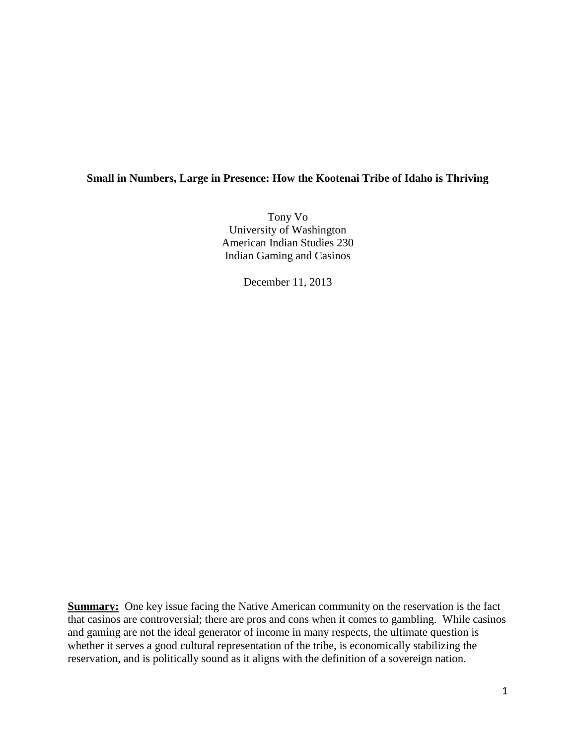# **Small in Numbers, Large in Presence: How the Kootenai Tribe of Idaho is Thriving**

Tony Vo University of Washington American Indian Studies 230 Indian Gaming and Casinos

December 11, 2013

**Summary:** One key issue facing the Native American community on the reservation is the fact that casinos are controversial; there are pros and cons when it comes to gambling. While casinos and gaming are not the ideal generator of income in many respects, the ultimate question is whether it serves a good cultural representation of the tribe, is economically stabilizing the reservation, and is politically sound as it aligns with the definition of a sovereign nation.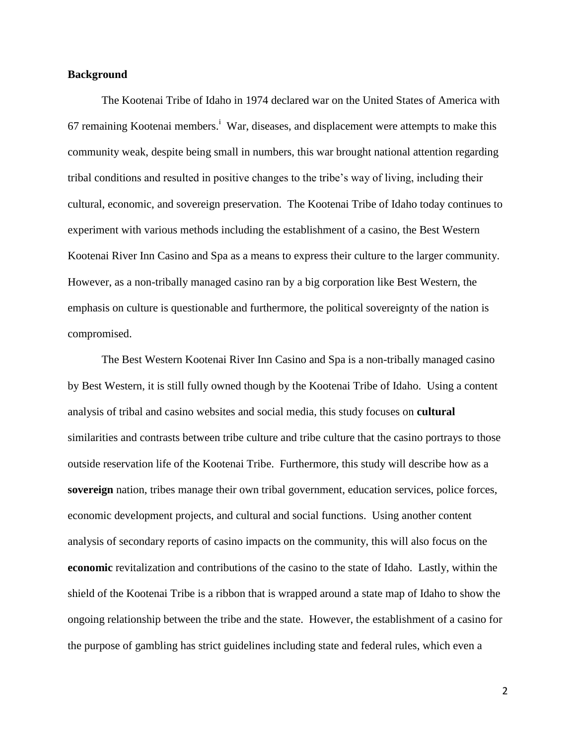## **Background**

The Kootenai Tribe of Idaho in 1974 declared war on the United States of America with 67 remaining Kootenai members.<sup>i</sup> War, diseases, and displacement were attempts to make this community weak, despite being small in numbers, this war brought national attention regarding tribal conditions and resulted in positive changes to the tribe's way of living, including their cultural, economic, and sovereign preservation. The Kootenai Tribe of Idaho today continues to experiment with various methods including the establishment of a casino, the Best Western Kootenai River Inn Casino and Spa as a means to express their culture to the larger community. However, as a non-tribally managed casino ran by a big corporation like Best Western, the emphasis on culture is questionable and furthermore, the political sovereignty of the nation is compromised.

The Best Western Kootenai River Inn Casino and Spa is a non-tribally managed casino by Best Western, it is still fully owned though by the Kootenai Tribe of Idaho. Using a content analysis of tribal and casino websites and social media, this study focuses on **cultural**  similarities and contrasts between tribe culture and tribe culture that the casino portrays to those outside reservation life of the Kootenai Tribe. Furthermore, this study will describe how as a **sovereign** nation, tribes manage their own tribal government, education services, police forces, economic development projects, and cultural and social functions. Using another content analysis of secondary reports of casino impacts on the community, this will also focus on the **economic** revitalization and contributions of the casino to the state of Idaho. Lastly, within the shield of the Kootenai Tribe is a ribbon that is wrapped around a state map of Idaho to show the ongoing relationship between the tribe and the state. However, the establishment of a casino for the purpose of gambling has strict guidelines including state and federal rules, which even a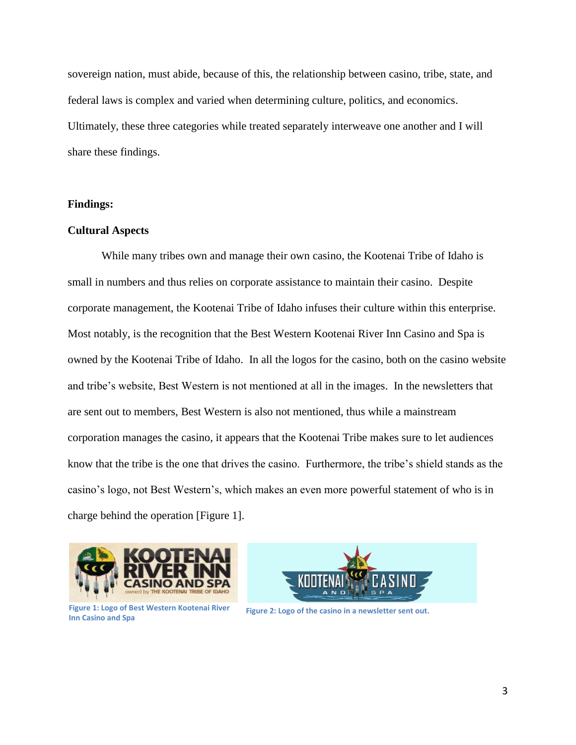sovereign nation, must abide, because of this, the relationship between casino, tribe, state, and federal laws is complex and varied when determining culture, politics, and economics. Ultimately, these three categories while treated separately interweave one another and I will share these findings.

## **Findings:**

# **Cultural Aspects**

While many tribes own and manage their own casino, the Kootenai Tribe of Idaho is small in numbers and thus relies on corporate assistance to maintain their casino. Despite corporate management, the Kootenai Tribe of Idaho infuses their culture within this enterprise. Most notably, is the recognition that the Best Western Kootenai River Inn Casino and Spa is owned by the Kootenai Tribe of Idaho. In all the logos for the casino, both on the casino website and tribe's website, Best Western is not mentioned at all in the images. In the newsletters that are sent out to members, Best Western is also not mentioned, thus while a mainstream corporation manages the casino, it appears that the Kootenai Tribe makes sure to let audiences know that the tribe is the one that drives the casino. Furthermore, the tribe's shield stands as the casino's logo, not Best Western's, which makes an even more powerful statement of who is in charge behind the operation [Figure 1].





Figure 1: Logo of Best Western Kootenai River<br>
Figure 2: Logo of the casino in a newsletter sent out. **Inn Casino and Spa**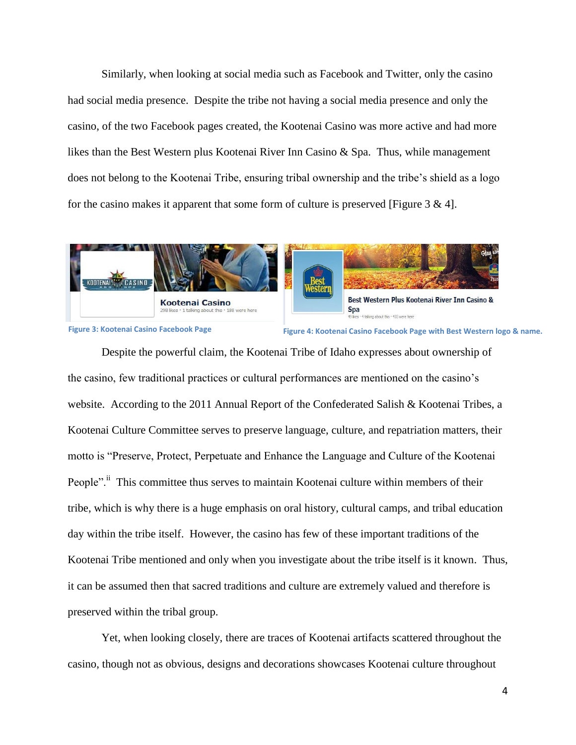Similarly, when looking at social media such as Facebook and Twitter, only the casino had social media presence. Despite the tribe not having a social media presence and only the casino, of the two Facebook pages created, the Kootenai Casino was more active and had more likes than the Best Western plus Kootenai River Inn Casino & Spa. Thus, while management does not belong to the Kootenai Tribe, ensuring tribal ownership and the tribe's shield as a logo for the casino makes it apparent that some form of culture is preserved [Figure  $3 \& 4$ ].





**Figure 3: Kootenai Casino Facebook Page Figure 4: Kootenai Casino Facebook Page with Best Western logo & name.**

Despite the powerful claim, the Kootenai Tribe of Idaho expresses about ownership of the casino, few traditional practices or cultural performances are mentioned on the casino's website. According to the 2011 Annual Report of the Confederated Salish & Kootenai Tribes, a Kootenai Culture Committee serves to preserve language, culture, and repatriation matters, their motto is "Preserve, Protect, Perpetuate and Enhance the Language and Culture of the Kootenai People".<sup>ii</sup> This committee thus serves to maintain Kootenai culture within members of their tribe, which is why there is a huge emphasis on oral history, cultural camps, and tribal education day within the tribe itself. However, the casino has few of these important traditions of the Kootenai Tribe mentioned and only when you investigate about the tribe itself is it known. Thus, it can be assumed then that sacred traditions and culture are extremely valued and therefore is preserved within the tribal group.

Yet, when looking closely, there are traces of Kootenai artifacts scattered throughout the casino, though not as obvious, designs and decorations showcases Kootenai culture throughout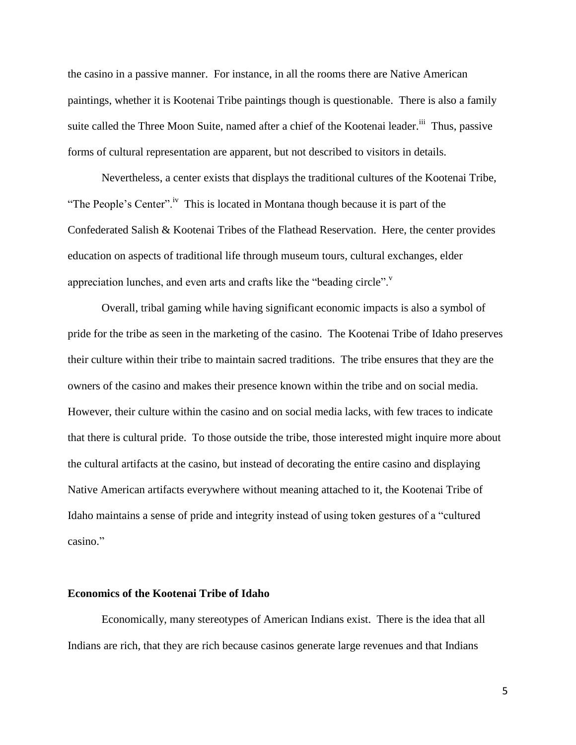the casino in a passive manner. For instance, in all the rooms there are Native American paintings, whether it is Kootenai Tribe paintings though is questionable. There is also a family suite called the Three Moon Suite, named after a chief of the Kootenai leader.<sup>iii</sup> Thus, passive forms of cultural representation are apparent, but not described to visitors in details.

Nevertheless, a center exists that displays the traditional cultures of the Kootenai Tribe, "The People's Center".<sup>iv</sup> This is located in Montana though because it is part of the Confederated Salish & Kootenai Tribes of the Flathead Reservation. Here, the center provides education on aspects of traditional life through museum tours, cultural exchanges, elder appreciation lunches, and even arts and crafts like the "beading circle". $\mathbf{v}$ 

Overall, tribal gaming while having significant economic impacts is also a symbol of pride for the tribe as seen in the marketing of the casino. The Kootenai Tribe of Idaho preserves their culture within their tribe to maintain sacred traditions. The tribe ensures that they are the owners of the casino and makes their presence known within the tribe and on social media. However, their culture within the casino and on social media lacks, with few traces to indicate that there is cultural pride. To those outside the tribe, those interested might inquire more about the cultural artifacts at the casino, but instead of decorating the entire casino and displaying Native American artifacts everywhere without meaning attached to it, the Kootenai Tribe of Idaho maintains a sense of pride and integrity instead of using token gestures of a "cultured casino."

# **Economics of the Kootenai Tribe of Idaho**

Economically, many stereotypes of American Indians exist. There is the idea that all Indians are rich, that they are rich because casinos generate large revenues and that Indians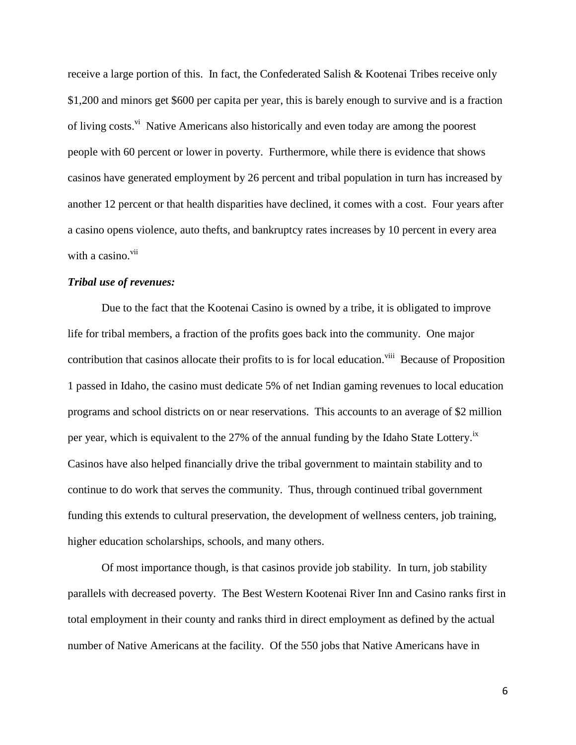receive a large portion of this. In fact, the Confederated Salish & Kootenai Tribes receive only \$1,200 and minors get \$600 per capita per year, this is barely enough to survive and is a fraction of living costs.<sup>vi</sup> Native Americans also historically and even today are among the poorest people with 60 percent or lower in poverty. Furthermore, while there is evidence that shows casinos have generated employment by 26 percent and tribal population in turn has increased by another 12 percent or that health disparities have declined, it comes with a cost. Four years after a casino opens violence, auto thefts, and bankruptcy rates increases by 10 percent in every area with a casino.<sup>vii</sup>

## *Tribal use of revenues:*

Due to the fact that the Kootenai Casino is owned by a tribe, it is obligated to improve life for tribal members, a fraction of the profits goes back into the community. One major contribution that casinos allocate their profits to is for local education.<sup>viii</sup> Because of Proposition 1 passed in Idaho, the casino must dedicate 5% of net Indian gaming revenues to local education programs and school districts on or near reservations. This accounts to an average of \$2 million per year, which is equivalent to the 27% of the annual funding by the Idaho State Lottery.<sup>ix</sup> Casinos have also helped financially drive the tribal government to maintain stability and to continue to do work that serves the community. Thus, through continued tribal government funding this extends to cultural preservation, the development of wellness centers, job training, higher education scholarships, schools, and many others.

 Of most importance though, is that casinos provide job stability. In turn, job stability parallels with decreased poverty. The Best Western Kootenai River Inn and Casino ranks first in total employment in their county and ranks third in direct employment as defined by the actual number of Native Americans at the facility. Of the 550 jobs that Native Americans have in

6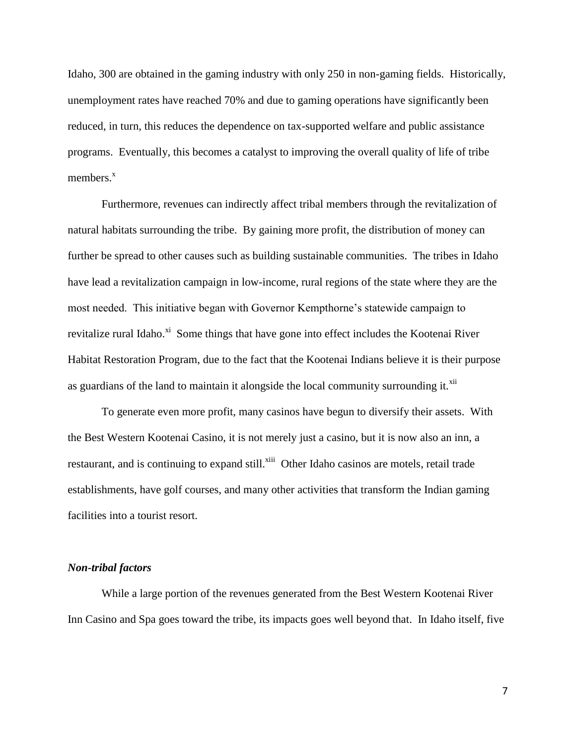Idaho, 300 are obtained in the gaming industry with only 250 in non-gaming fields. Historically, unemployment rates have reached 70% and due to gaming operations have significantly been reduced, in turn, this reduces the dependence on tax-supported welfare and public assistance programs. Eventually, this becomes a catalyst to improving the overall quality of life of tribe members. $x$ 

 Furthermore, revenues can indirectly affect tribal members through the revitalization of natural habitats surrounding the tribe. By gaining more profit, the distribution of money can further be spread to other causes such as building sustainable communities. The tribes in Idaho have lead a revitalization campaign in low-income, rural regions of the state where they are the most needed. This initiative began with Governor Kempthorne's statewide campaign to revitalize rural Idaho.<sup>xi</sup> Some things that have gone into effect includes the Kootenai River Habitat Restoration Program, due to the fact that the Kootenai Indians believe it is their purpose as guardians of the land to maintain it alongside the local community surrounding it. $^{xii}$ 

To generate even more profit, many casinos have begun to diversify their assets. With the Best Western Kootenai Casino, it is not merely just a casino, but it is now also an inn, a restaurant, and is continuing to expand still.<sup>xiii</sup> Other Idaho casinos are motels, retail trade establishments, have golf courses, and many other activities that transform the Indian gaming facilities into a tourist resort.

### *Non-tribal factors*

While a large portion of the revenues generated from the Best Western Kootenai River Inn Casino and Spa goes toward the tribe, its impacts goes well beyond that. In Idaho itself, five

7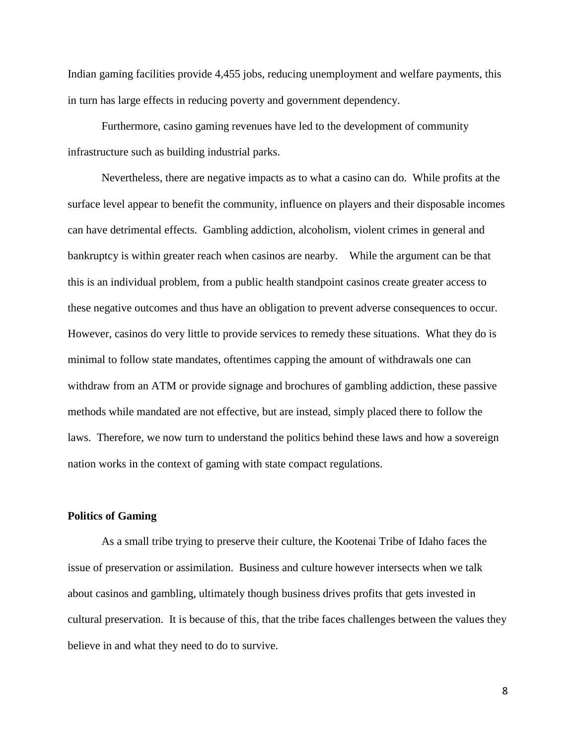Indian gaming facilities provide 4,455 jobs, reducing unemployment and welfare payments, this in turn has large effects in reducing poverty and government dependency.

Furthermore, casino gaming revenues have led to the development of community infrastructure such as building industrial parks.

Nevertheless, there are negative impacts as to what a casino can do. While profits at the surface level appear to benefit the community, influence on players and their disposable incomes can have detrimental effects. Gambling addiction, alcoholism, violent crimes in general and bankruptcy is within greater reach when casinos are nearby. While the argument can be that this is an individual problem, from a public health standpoint casinos create greater access to these negative outcomes and thus have an obligation to prevent adverse consequences to occur. However, casinos do very little to provide services to remedy these situations. What they do is minimal to follow state mandates, oftentimes capping the amount of withdrawals one can withdraw from an ATM or provide signage and brochures of gambling addiction, these passive methods while mandated are not effective, but are instead, simply placed there to follow the laws. Therefore, we now turn to understand the politics behind these laws and how a sovereign nation works in the context of gaming with state compact regulations.

#### **Politics of Gaming**

As a small tribe trying to preserve their culture, the Kootenai Tribe of Idaho faces the issue of preservation or assimilation. Business and culture however intersects when we talk about casinos and gambling, ultimately though business drives profits that gets invested in cultural preservation. It is because of this, that the tribe faces challenges between the values they believe in and what they need to do to survive.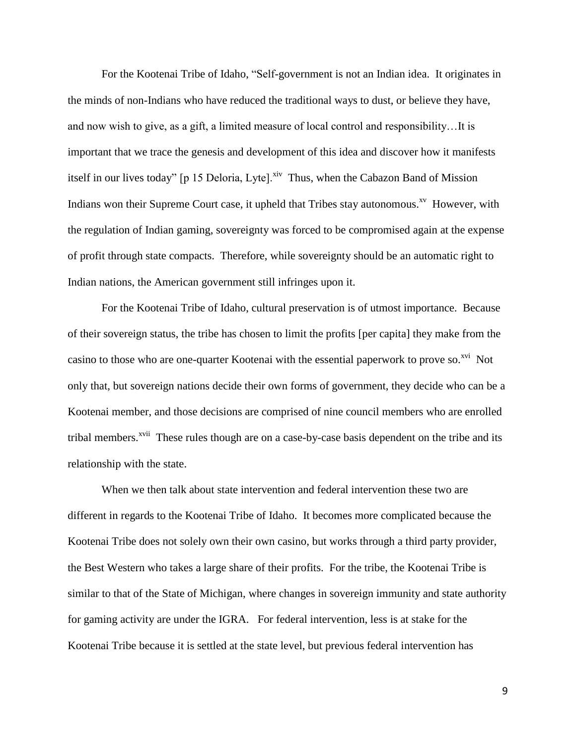For the Kootenai Tribe of Idaho, "Self-government is not an Indian idea. It originates in the minds of non-Indians who have reduced the traditional ways to dust, or believe they have, and now wish to give, as a gift, a limited measure of local control and responsibility…It is important that we trace the genesis and development of this idea and discover how it manifests itself in our lives today" [p 15 Deloria, Lyte]. $\frac{div}{dx}$  Thus, when the Cabazon Band of Mission Indians won their Supreme Court case, it upheld that Tribes stay autonomous.<sup>xv</sup> However, with the regulation of Indian gaming, sovereignty was forced to be compromised again at the expense of profit through state compacts. Therefore, while sovereignty should be an automatic right to Indian nations, the American government still infringes upon it.

For the Kootenai Tribe of Idaho, cultural preservation is of utmost importance. Because of their sovereign status, the tribe has chosen to limit the profits [per capita] they make from the casino to those who are one-quarter Kootenai with the essential paperwork to prove so.<sup>xvi</sup> Not only that, but sovereign nations decide their own forms of government, they decide who can be a Kootenai member, and those decisions are comprised of nine council members who are enrolled tribal members.<sup>xvii</sup> These rules though are on a case-by-case basis dependent on the tribe and its relationship with the state.

When we then talk about state intervention and federal intervention these two are different in regards to the Kootenai Tribe of Idaho. It becomes more complicated because the Kootenai Tribe does not solely own their own casino, but works through a third party provider, the Best Western who takes a large share of their profits. For the tribe, the Kootenai Tribe is similar to that of the State of Michigan, where changes in sovereign immunity and state authority for gaming activity are under the IGRA. For federal intervention, less is at stake for the Kootenai Tribe because it is settled at the state level, but previous federal intervention has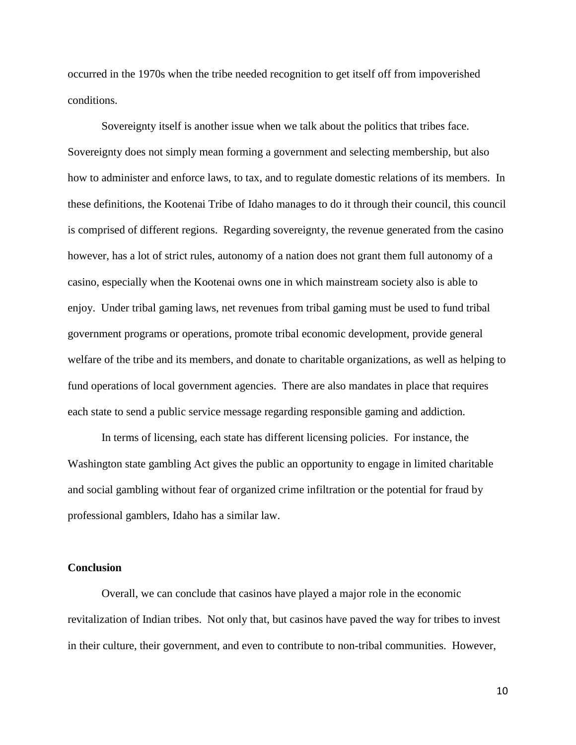occurred in the 1970s when the tribe needed recognition to get itself off from impoverished conditions.

Sovereignty itself is another issue when we talk about the politics that tribes face. Sovereignty does not simply mean forming a government and selecting membership, but also how to administer and enforce laws, to tax, and to regulate domestic relations of its members. In these definitions, the Kootenai Tribe of Idaho manages to do it through their council, this council is comprised of different regions. Regarding sovereignty, the revenue generated from the casino however, has a lot of strict rules, autonomy of a nation does not grant them full autonomy of a casino, especially when the Kootenai owns one in which mainstream society also is able to enjoy. Under tribal gaming laws, net revenues from tribal gaming must be used to fund tribal government programs or operations, promote tribal economic development, provide general welfare of the tribe and its members, and donate to charitable organizations, as well as helping to fund operations of local government agencies. There are also mandates in place that requires each state to send a public service message regarding responsible gaming and addiction.

In terms of licensing, each state has different licensing policies. For instance, the Washington state gambling Act gives the public an opportunity to engage in limited charitable and social gambling without fear of organized crime infiltration or the potential for fraud by professional gamblers, Idaho has a similar law.

### **Conclusion**

Overall, we can conclude that casinos have played a major role in the economic revitalization of Indian tribes. Not only that, but casinos have paved the way for tribes to invest in their culture, their government, and even to contribute to non-tribal communities. However,

10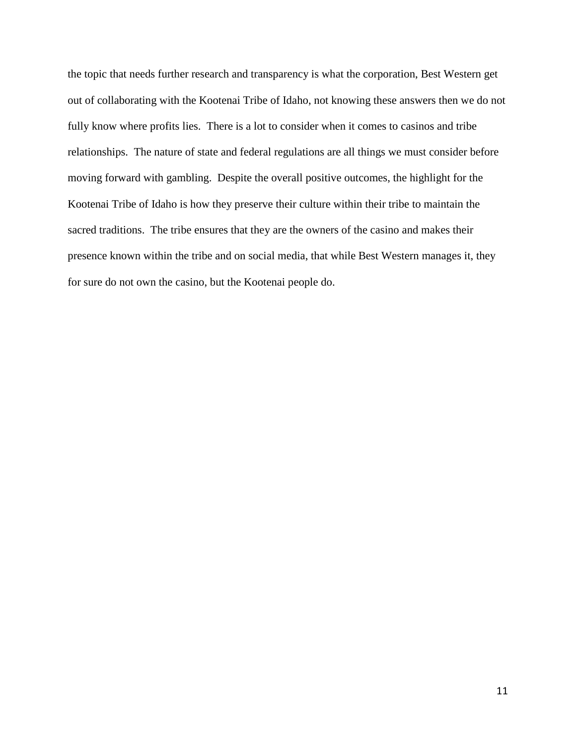the topic that needs further research and transparency is what the corporation, Best Western get out of collaborating with the Kootenai Tribe of Idaho, not knowing these answers then we do not fully know where profits lies. There is a lot to consider when it comes to casinos and tribe relationships. The nature of state and federal regulations are all things we must consider before moving forward with gambling. Despite the overall positive outcomes, the highlight for the Kootenai Tribe of Idaho is how they preserve their culture within their tribe to maintain the sacred traditions. The tribe ensures that they are the owners of the casino and makes their presence known within the tribe and on social media, that while Best Western manages it, they for sure do not own the casino, but the Kootenai people do.